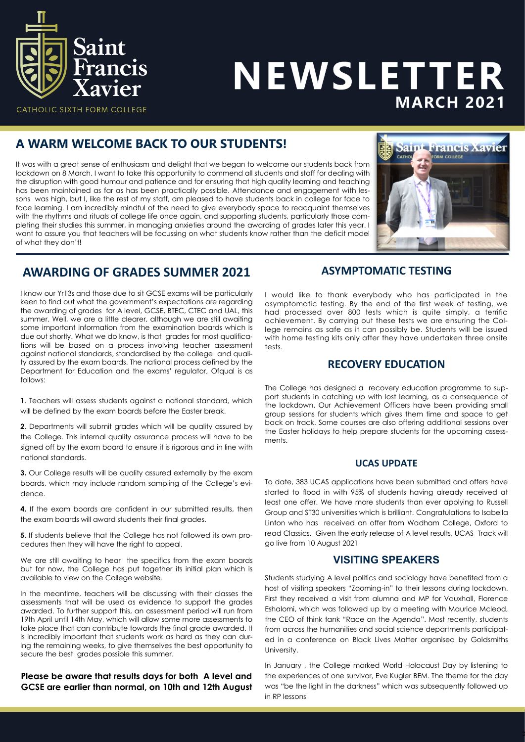

# NEWSLETTER **MARCH 2021**

### **A WARM WELCOME BACK TO OUR STUDENTS!**

It was with a great sense of enthusiasm and delight that we began to welcome our students back from lockdown on 8 March. I want to take this opportunity to commend all students and staff for dealing with the disruption with good humour and patience and for ensuring that high quality learning and teaching has been maintained as far as has been practically possible. Attendance and engagement with lessons was high, but I, like the rest of my staff, am pleased to have students back in college for face to face learning. I am incredibly mindful of the need to give everybody space to reacquaint themselves with the rhythms and rituals of college life once again, and supporting students, particularly those completing their studies this summer, in managing anxieties around the awarding of grades later this year. I want to assure you that teachers will be focussing on what students know rather than the deficit model of what they don't!



## **AWARDING OF GRADES SUMMER 2021**

I know our Yr13s and those due to sit GCSE exams will be particularly keen to find out what the government's expectations are regarding the awarding of grades for A level, GCSE, BTEC, CTEC and UAL, this summer. Well, we are a little clearer, although we are still awaiting some important information from the examination boards which is due out shortly. What we do know, is that grades for most qualifications will be based on a process involving teacher assessment against national standards, standardised by the college and quality assured by the exam boards. The national process defined by the Department for Education and the exams' regulator, Ofqual is as follows:

**1**. Teachers will assess students against a national standard, which will be defined by the exam boards before the Easter break.

**2**. Departments will submit grades which will be quality assured by the College. This internal quality assurance process will have to be signed off by the exam board to ensure it is rigorous and in line with national standards.

**3.** Our College results will be quality assured externally by the exam boards, which may include random sampling of the College's evidence.

**4.** If the exam boards are confident in our submitted results, then the exam boards will award students their final grades.

**5**. If students believe that the College has not followed its own procedures then they will have the right to appeal.

We are still awaiting to hear the specifics from the exam boards but for now, the College has put together its initial plan which is available to view on the College website.

In the meantime, teachers will be discussing with their classes the assessments that will be used as evidence to support the grades awarded. To further support this, an assessment period will run from 19th April until 14th May, which will allow some more assessments to take place that can contribute towards the final grade awarded. It is incredibly important that students work as hard as they can during the remaining weeks, to give themselves the best opportunity to secure the best grades possible this summer.

**Please be aware that results days for both A level and GCSE are earlier than normal, on 10th and 12th August** 

#### **ASYMPTOMATIC TESTING**

I would like to thank everybody who has participated in the asymptomatic testing. By the end of the first week of testing, we had processed over 800 tests which is quite simply, a terrific achievement. By carrying out these tests we are ensuring the College remains as safe as it can possibly be. Students will be issued with home testing kits only after they have undertaken three onsite tests.

#### **RECOVERY EDUCATION**

The College has designed a recovery education programme to support students in catching up with lost learning, as a consequence of the lockdown. Our Achievement Officers have been providing small group sessions for students which gives them time and space to get back on track. Some courses are also offering additional sessions over the Easter holidays to help prepare students for the upcoming assessments.

#### **UCAS UPDATE**

To date, 383 UCAS applications have been submitted and offers have started to flood in with 95% of students having already received at least one offer. We have more students than ever applying to Russell Group and ST30 universities which is brilliant. Congratulations to Isabella Linton who has received an offer from Wadham College, Oxford to read Classics. Given the early release of A level results, UCAS Track will go live from 10 August 2021

#### **VISITING SPEAKERS**

Students studying A level politics and sociology have benefited from a host of visiting speakers "Zooming-in" to their lessons during lockdown. First they received a visit from alumna and MP for Vauxhall, Florence Eshalomi, which was followed up by a meeting with Maurice Mcleod, the CEO of think tank "Race on the Agenda". Most recently, students from across the humanities and social science departments participated in a conference on Black Lives Matter organised by Goldsmiths University.

In January , the College marked World Holocaust Day by listening to the experiences of one survivor, Eve Kugler BEM. The theme for the day was "be the light in the darkness" which was subsequently followed up in RP lessons